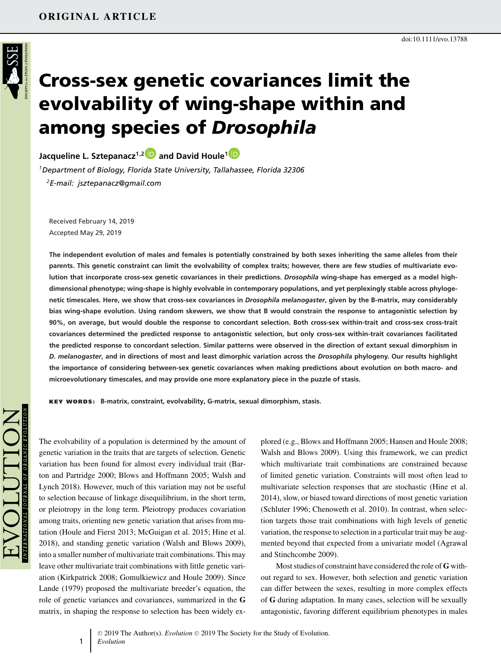

# **Cross-sex genetic covariances limit the evolvability of wing-shape within and among species of** *Drosophila*

**Jacqueline L. Sztepanacz1,[2](https://orcid.org/0000-0002-4962-0150) and David Houle[1](https://orcid.org/0000-0002-8095-3156)**

*1Department of Biology, Florida State University, Tallahassee, Florida 32306 2E-mail: jsztepanacz@gmail.com*

Received February 14, 2019 Accepted May 29, 2019

**The independent evolution of males and females is potentially constrained by both sexes inheriting the same alleles from their parents. This genetic constraint can limit the evolvability of complex traits; however, there are few studies of multivariate evolution that incorporate cross-sex genetic covariances in their predictions.** *Drosophila* **wing-shape has emerged as a model highdimensional phenotype; wing-shape is highly evolvable in contemporary populations, and yet perplexingly stable across phylogenetic timescales. Here, we show that cross-sex covariances in** *Drosophila melanogaster***, given by the B-matrix, may considerably bias wing-shape evolution. Using random skewers, we show that B would constrain the response to antagonistic selection by 90%, on average, but would double the response to concordant selection. Both cross-sex within-trait and cross-sex cross-trait covariances determined the predicted response to antagonistic selection, but only cross-sex within-trait covariances facilitated the predicted response to concordant selection. Similar patterns were observed in the direction of extant sexual dimorphism in** *D. melanogaster***, and in directions of most and least dimorphic variation across the** *Drosophila* **phylogeny. Our results highlight the importance of considering between-sex genetic covariances when making predictions about evolution on both macro- and microevolutionary timescales, and may provide one more explanatory piece in the puzzle of stasis.**

**KEY WORDS: B-matrix, constraint, evolvability, G-matrix, sexual dimorphism, stasis.**

The evolvability of a population is determined by the amount of genetic variation in the traits that are targets of selection. Genetic variation has been found for almost every individual trait (Barton and Partridge 2000; Blows and Hoffmann 2005; Walsh and Lynch 2018). However, much of this variation may not be useful to selection because of linkage disequilibrium, in the short term, or pleiotropy in the long term. Pleiotropy produces covariation among traits, orienting new genetic variation that arises from mutation (Houle and Fierst 2013; McGuigan et al. 2015; Hine et al. 2018), and standing genetic variation (Walsh and Blows 2009), into a smaller number of multivariate trait combinations. This may leave other multivariate trait combinations with little genetic variation (Kirkpatrick 2008; Gomulkiewicz and Houle 2009). Since Lande (1979) proposed the multivariate breeder's equation, the role of genetic variances and covariances, summarized in the **G** matrix, in shaping the response to selection has been widely ex-

1

plored (e.g., Blows and Hoffmann 2005; Hansen and Houle 2008; Walsh and Blows 2009). Using this framework, we can predict which multivariate trait combinations are constrained because of limited genetic variation. Constraints will most often lead to multivariate selection responses that are stochastic (Hine et al. 2014), slow, or biased toward directions of most genetic variation (Schluter 1996; Chenoweth et al. 2010). In contrast, when selection targets those trait combinations with high levels of genetic variation, the response to selection in a particular trait may be augmented beyond that expected from a univariate model (Agrawal and Stinchcombe 2009).

Most studies of constraint have considered the role of **G** without regard to sex. However, both selection and genetic variation can differ between the sexes, resulting in more complex effects of **G** during adaptation. In many cases, selection will be sexually antagonistic, favoring different equilibrium phenotypes in males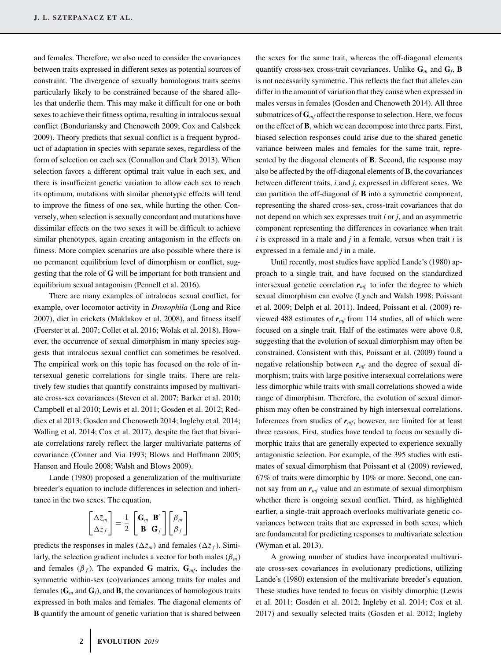and females. Therefore, we also need to consider the covariances between traits expressed in different sexes as potential sources of constraint. The divergence of sexually homologous traits seems particularly likely to be constrained because of the shared alleles that underlie them. This may make it difficult for one or both sexes to achieve their fitness optima, resulting in intralocus sexual conflict (Bonduriansky and Chenoweth 2009; Cox and Calsbeek 2009). Theory predicts that sexual conflict is a frequent byproduct of adaptation in species with separate sexes, regardless of the form of selection on each sex (Connallon and Clark 2013). When selection favors a different optimal trait value in each sex, and there is insufficient genetic variation to allow each sex to reach its optimum, mutations with similar phenotypic effects will tend to improve the fitness of one sex, while hurting the other. Conversely, when selection is sexually concordant and mutations have dissimilar effects on the two sexes it will be difficult to achieve similar phenotypes, again creating antagonism in the effects on fitness. More complex scenarios are also possible where there is no permanent equilibrium level of dimorphism or conflict, suggesting that the role of **G** will be important for both transient and equilibrium sexual antagonism (Pennell et al. 2016).

There are many examples of intralocus sexual conflict, for example, over locomotor activity in *Drosophila* (Long and Rice 2007), diet in crickets (Maklakov et al. 2008), and fitness itself (Foerster et al. 2007; Collet et al. 2016; Wolak et al. 2018). However, the occurrence of sexual dimorphism in many species suggests that intralocus sexual conflict can sometimes be resolved. The empirical work on this topic has focused on the role of intersexual genetic correlations for single traits. There are relatively few studies that quantify constraints imposed by multivariate cross-sex covariances (Steven et al. 2007; Barker et al. 2010; Campbell et al 2010; Lewis et al. 2011; Gosden et al. 2012; Reddiex et al 2013; Gosden and Chenoweth 2014; Ingleby et al. 2014; Walling et al. 2014; Cox et al. 2017), despite the fact that bivariate correlations rarely reflect the larger multivariate patterns of covariance (Conner and Via 1993; Blows and Hoffmann 2005; Hansen and Houle 2008; Walsh and Blows 2009).

Lande (1980) proposed a generalization of the multivariate breeder's equation to include differences in selection and inheritance in the two sexes. The equation,

$$
\begin{bmatrix} \Delta \bar{z}_m \\ \Delta \bar{z}_f \end{bmatrix} = \frac{1}{2} \begin{bmatrix} \mathbf{G}_m & \mathbf{B}' \\ \mathbf{B} & \mathbf{G}_f \end{bmatrix} \begin{bmatrix} \beta_m \\ \beta_f \end{bmatrix}
$$

predicts the responses in males ( $\Delta \bar{z}_m$ ) and females ( $\Delta \bar{z}_f$ ). Similarly, the selection gradient includes a vector for both males  $(\beta_m)$ and females  $(\beta_f)$ . The expanded **G** matrix,  $\mathbf{G}_{mf}$ , includes the symmetric within-sex (co)variances among traits for males and females ( $G_m$  and  $G_f$ ), and **B**, the covariances of homologous traits expressed in both males and females. The diagonal elements of **B** quantify the amount of genetic variation that is shared between the sexes for the same trait, whereas the off-diagonal elements quantify cross-sex cross-trait covariances. Unlike **G***<sup>m</sup>* and **G***f*, **B** is not necessarily symmetric. This reflects the fact that alleles can differ in the amount of variation that they cause when expressed in males versus in females (Gosden and Chenoweth 2014). All three submatrices of  $\mathbf{G}_{\textit{mf}}$  affect the response to selection. Here, we focus on the effect of **B**, which we can decompose into three parts. First, biased selection responses could arise due to the shared genetic variance between males and females for the same trait, represented by the diagonal elements of **B**. Second, the response may also be affected by the off-diagonal elements of **B**, the covariances between different traits, *i* and *j*, expressed in different sexes. We can partition the off-diagonal of **B** into a symmetric component, representing the shared cross-sex, cross-trait covariances that do not depend on which sex expresses trait *i* or *j*, and an asymmetric component representing the differences in covariance when trait *i* is expressed in a male and *j* in a female, versus when trait *i* is expressed in a female and *j* in a male.

Until recently, most studies have applied Lande's (1980) approach to a single trait, and have focused on the standardized intersexual genetic correlation  $r_{m}$  to infer the degree to which sexual dimorphism can evolve (Lynch and Walsh 1998; Poissant et al. 2009; Delph et al. 2011). Indeed, Poissant et al. (2009) reviewed 488 estimates of  $r_{mf}$  from 114 studies, all of which were focused on a single trait. Half of the estimates were above 0.8, suggesting that the evolution of sexual dimorphism may often be constrained. Consistent with this, Poissant et al. (2009) found a negative relationship between  $r<sub>mf</sub>$  and the degree of sexual dimorphism; traits with large positive intersexual correlations were less dimorphic while traits with small correlations showed a wide range of dimorphism. Therefore, the evolution of sexual dimorphism may often be constrained by high intersexual correlations. Inferences from studies of  $r_{\text{mf}}$ , however, are limited for at least three reasons. First, studies have tended to focus on sexually dimorphic traits that are generally expected to experience sexually antagonistic selection. For example, of the 395 studies with estimates of sexual dimorphism that Poissant et al (2009) reviewed, 67% of traits were dimorphic by 10% or more. Second, one cannot say from an *rmf* value and an estimate of sexual dimorphism whether there is ongoing sexual conflict. Third, as highlighted earlier, a single-trait approach overlooks multivariate genetic covariances between traits that are expressed in both sexes, which are fundamental for predicting responses to multivariate selection (Wyman et al. 2013).

A growing number of studies have incorporated multivariate cross-sex covariances in evolutionary predictions, utilizing Lande's (1980) extension of the multivariate breeder's equation. These studies have tended to focus on visibly dimorphic (Lewis et al. 2011; Gosden et al. 2012; Ingleby et al. 2014; Cox et al. 2017) and sexually selected traits (Gosden et al. 2012; Ingleby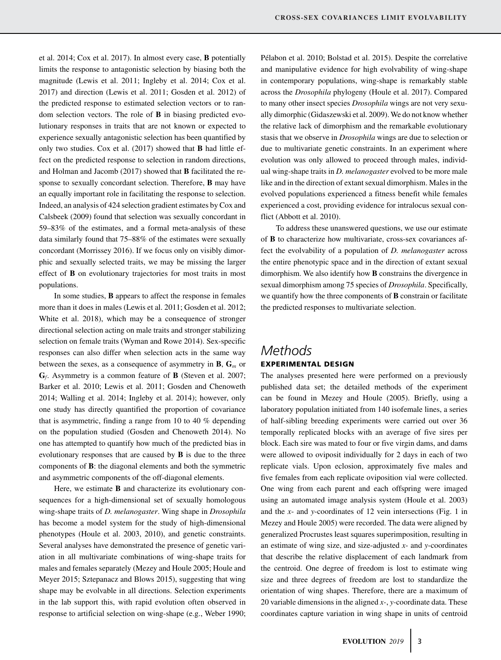et al. 2014; Cox et al. 2017). In almost every case, **B** potentially limits the response to antagonistic selection by biasing both the magnitude (Lewis et al. 2011; Ingleby et al. 2014; Cox et al. 2017) and direction (Lewis et al. 2011; Gosden et al. 2012) of the predicted response to estimated selection vectors or to random selection vectors. The role of **B** in biasing predicted evolutionary responses in traits that are not known or expected to experience sexually antagonistic selection has been quantified by only two studies. Cox et al. (2017) showed that **B** had little effect on the predicted response to selection in random directions, and Holman and Jacomb (2017) showed that **B** facilitated the response to sexually concordant selection. Therefore, **B** may have an equally important role in facilitating the response to selection. Indeed, an analysis of 424 selection gradient estimates by Cox and Calsbeek (2009) found that selection was sexually concordant in 59–83% of the estimates, and a formal meta-analysis of these data similarly found that 75–88% of the estimates were sexually concordant (Morrissey 2016). If we focus only on visibly dimorphic and sexually selected traits, we may be missing the larger effect of **B** on evolutionary trajectories for most traits in most populations.

In some studies, **B** appears to affect the response in females more than it does in males (Lewis et al. 2011; Gosden et al. 2012; White et al. 2018), which may be a consequence of stronger directional selection acting on male traits and stronger stabilizing selection on female traits (Wyman and Rowe 2014). Sex-specific responses can also differ when selection acts in the same way between the sexes, as a consequence of asymmetry in **B**,  $\mathbf{G}_m$  or **G***f*. Asymmetry is a common feature of **B** (Steven et al. 2007; Barker et al. 2010; Lewis et al. 2011; Gosden and Chenoweth 2014; Walling et al. 2014; Ingleby et al. 2014); however, only one study has directly quantified the proportion of covariance that is asymmetric, finding a range from 10 to 40 % depending on the population studied (Gosden and Chenoweth 2014). No one has attempted to quantify how much of the predicted bias in evolutionary responses that are caused by **B** is due to the three components of **B**: the diagonal elements and both the symmetric and asymmetric components of the off-diagonal elements.

Here, we estimate **B** and characterize its evolutionary consequences for a high-dimensional set of sexually homologous wing-shape traits of *D. melanogaster*. Wing shape in *Drosophila* has become a model system for the study of high-dimensional phenotypes (Houle et al. 2003, 2010), and genetic constraints. Several analyses have demonstrated the presence of genetic variation in all multivariate combinations of wing-shape traits for males and females separately (Mezey and Houle 2005; Houle and Meyer 2015; Sztepanacz and Blows 2015), suggesting that wing shape may be evolvable in all directions. Selection experiments in the lab support this, with rapid evolution often observed in response to artificial selection on wing-shape (e.g., Weber 1990;

Pélabon et al. 2010; Bolstad et al. 2015). Despite the correlative and manipulative evidence for high evolvability of wing-shape in contemporary populations, wing-shape is remarkably stable across the *Drosophila* phylogeny (Houle et al. 2017). Compared to many other insect species *Drosophila* wings are not very sexually dimorphic (Gidaszewski et al. 2009). We do not know whether the relative lack of dimorphism and the remarkable evolutionary stasis that we observe in *Drosophila* wings are due to selection or due to multivariate genetic constraints. In an experiment where evolution was only allowed to proceed through males, individual wing-shape traits in *D. melanogaster* evolved to be more male like and in the direction of extant sexual dimorphism. Males in the evolved populations experienced a fitness benefit while females experienced a cost, providing evidence for intralocus sexual conflict (Abbott et al. 2010).

To address these unanswered questions, we use our estimate of **B** to characterize how multivariate, cross-sex covariances affect the evolvability of a population of *D. melanogaster* across the entire phenotypic space and in the direction of extant sexual dimorphism. We also identify how **B** constrains the divergence in sexual dimorphism among 75 species of *Drosophila*. Specifically, we quantify how the three components of **B** constrain or facilitate the predicted responses to multivariate selection.

# *Methods* **EXPERIMENTAL DESIGN**

The analyses presented here were performed on a previously published data set; the detailed methods of the experiment can be found in Mezey and Houle (2005). Briefly, using a laboratory population initiated from 140 isofemale lines, a series of half-sibling breeding experiments were carried out over 36 temporally replicated blocks with an average of five sires per block. Each sire was mated to four or five virgin dams, and dams were allowed to oviposit individually for 2 days in each of two replicate vials. Upon eclosion, approximately five males and five females from each replicate oviposition vial were collected. One wing from each parent and each offspring were imaged using an automated image analysis system (Houle et al. 2003) and the *x*- and *y*-coordinates of 12 vein intersections (Fig. 1 in Mezey and Houle 2005) were recorded. The data were aligned by generalized Procrustes least squares superimposition, resulting in an estimate of wing size, and size-adjusted *x*- and *y*-coordinates that describe the relative displacement of each landmark from the centroid. One degree of freedom is lost to estimate wing size and three degrees of freedom are lost to standardize the orientation of wing shapes. Therefore, there are a maximum of 20 variable dimensions in the aligned *x-*, *y-*coordinate data. These coordinates capture variation in wing shape in units of centroid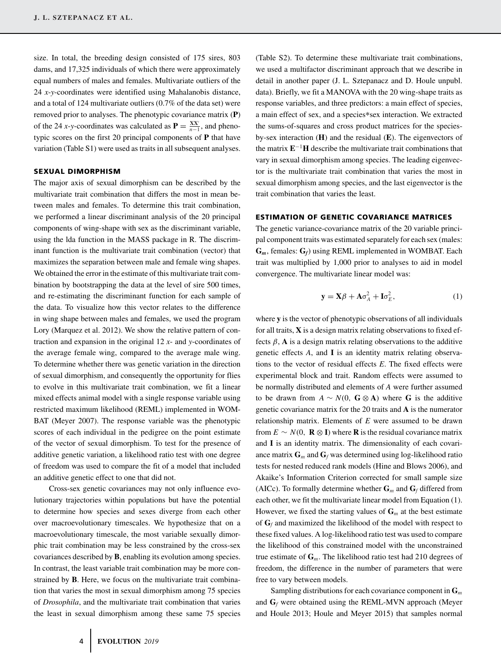size. In total, the breeding design consisted of 175 sires, 803 dams, and 17,325 individuals of which there were approximately equal numbers of males and females. Multivariate outliers of the 24 *x*-*y*-coordinates were identified using Mahalanobis distance, and a total of 124 multivariate outliers (0.7% of the data set) were removed prior to analyses. The phenotypic covariance matrix (**P**) of the 24 *x*-*y*-coordinates was calculated as  $P = \frac{XX'}{n-1}$ , and phenotypic scores on the first 20 principal components of **P** that have variation (Table S1) were used as traits in all subsequent analyses.

#### **SEXUAL DIMORPHISM**

The major axis of sexual dimorphism can be described by the multivariate trait combination that differs the most in mean between males and females. To determine this trait combination, we performed a linear discriminant analysis of the 20 principal components of wing-shape with sex as the discriminant variable, using the lda function in the MASS package in R. The discriminant function is the multivariate trait combination (vector) that maximizes the separation between male and female wing shapes. We obtained the error in the estimate of this multivariate trait combination by bootstrapping the data at the level of sire 500 times, and re-estimating the discriminant function for each sample of the data. To visualize how this vector relates to the difference in wing shape between males and females, we used the program Lory (Marquez et al. 2012). We show the relative pattern of contraction and expansion in the original 12 *x*- and *y*-coordinates of the average female wing, compared to the average male wing. To determine whether there was genetic variation in the direction of sexual dimorphism, and consequently the opportunity for flies to evolve in this multivariate trait combination, we fit a linear mixed effects animal model with a single response variable using restricted maximum likelihood (REML) implemented in WOM-BAT (Meyer 2007). The response variable was the phenotypic scores of each individual in the pedigree on the point estimate of the vector of sexual dimorphism. To test for the presence of additive genetic variation, a likelihood ratio test with one degree of freedom was used to compare the fit of a model that included an additive genetic effect to one that did not.

Cross-sex genetic covariances may not only influence evolutionary trajectories within populations but have the potential to determine how species and sexes diverge from each other over macroevolutionary timescales. We hypothesize that on a macroevolutionary timescale, the most variable sexually dimorphic trait combination may be less constrained by the cross-sex covariances described by **B**, enabling its evolution among species. In contrast, the least variable trait combination may be more constrained by **B**. Here, we focus on the multivariate trait combination that varies the most in sexual dimorphism among 75 species of *Drosophila*, and the multivariate trait combination that varies the least in sexual dimorphism among these same 75 species

(Table S2). To determine these multivariate trait combinations, we used a multifactor discriminant approach that we describe in detail in another paper (J. L. Sztepanacz and D. Houle unpubl. data). Briefly, we fit a MANOVA with the 20 wing-shape traits as response variables, and three predictors: a main effect of species, a main effect of sex, and a species∗sex interaction. We extracted the sums-of-squares and cross product matrices for the speciesby-sex interaction (**H**) and the residual (**E**). The eigenvectors of the matrix  $E^{-1}H$  describe the multivariate trait combinations that vary in sexual dimorphism among species. The leading eigenvector is the multivariate trait combination that varies the most in sexual dimorphism among species, and the last eigenvector is the trait combination that varies the least.

#### **ESTIMATION OF GENETIC COVARIANCE MATRICES**

The genetic variance-covariance matrix of the 20 variable principal component traits was estimated separately for each sex (males: **G***m*, females: **G***f*) using REML implemented in WOMBAT. Each trait was multiplied by 1,000 prior to analyses to aid in model convergence. The multivariate linear model was:

$$
\mathbf{y} = \mathbf{X}\boldsymbol{\beta} + \mathbf{A}\sigma_A^2 + \mathbf{I}\sigma_E^2,\tag{1}
$$

where **y** is the vector of phenotypic observations of all individuals for all traits, **X** is a design matrix relating observations to fixed effects  $\beta$ , **A** is a design matrix relating observations to the additive genetic effects *A*, and **I** is an identity matrix relating observations to the vector of residual effects *E*. The fixed effects were experimental block and trait. Random effects were assumed to be normally distributed and elements of *A* were further assumed to be drawn from  $A \sim N(0, G \otimes A)$  where G is the additive genetic covariance matrix for the 20 traits and **A** is the numerator relationship matrix. Elements of *E* were assumed to be drawn from  $E \sim N(0, \mathbf{R} \otimes \mathbf{I})$  where **R** is the residual covariance matrix and **I** is an identity matrix. The dimensionality of each covariance matrix  $\mathbf{G}_m$  and  $\mathbf{G}_f$  was determined using log-likelihood ratio tests for nested reduced rank models (Hine and Blows 2006), and Akaike's Information Criterion corrected for small sample size (AICc). To formally determine whether  $\mathbf{G}_m$  and  $\mathbf{G}_f$  differed from each other, we fit the multivariate linear model from Equation (1). However, we fixed the starting values of  $\mathbf{G}_m$  at the best estimate of  $G_f$  and maximized the likelihood of the model with respect to these fixed values. A log-likelihood ratio test was used to compare the likelihood of this constrained model with the unconstrained true estimate of **G***m*. The likelihood ratio test had 210 degrees of freedom, the difference in the number of parameters that were free to vary between models.

Sampling distributions for each covariance component in **G***<sup>m</sup>* and  $G_f$  were obtained using the REML-MVN approach (Meyer and Houle 2013; Houle and Meyer 2015) that samples normal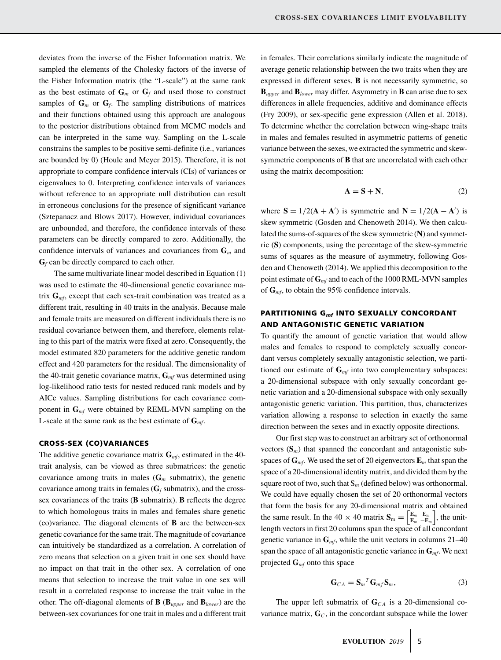deviates from the inverse of the Fisher Information matrix. We sampled the elements of the Cholesky factors of the inverse of the Fisher Information matrix (the "L-scale") at the same rank as the best estimate of  $G_m$  or  $G_f$  and used those to construct samples of  $\mathbf{G}_m$  or  $\mathbf{G}_f$ . The sampling distributions of matrices and their functions obtained using this approach are analogous to the posterior distributions obtained from MCMC models and can be interpreted in the same way. Sampling on the L-scale constrains the samples to be positive semi-definite (i.e., variances are bounded by 0) (Houle and Meyer 2015). Therefore, it is not appropriate to compare confidence intervals (CIs) of variances or eigenvalues to 0. Interpreting confidence intervals of variances without reference to an appropriate null distribution can result in erroneous conclusions for the presence of significant variance (Sztepanacz and Blows 2017). However, individual covariances are unbounded, and therefore, the confidence intervals of these parameters can be directly compared to zero. Additionally, the confidence intervals of variances and covariances from **G***<sup>m</sup>* and **G***<sup>f</sup>* can be directly compared to each other.

The same multivariate linear model described in Equation (1) was used to estimate the 40-dimensional genetic covariance matrix **G***mf*, except that each sex-trait combination was treated as a different trait, resulting in 40 traits in the analysis. Because male and female traits are measured on different individuals there is no residual covariance between them, and therefore, elements relating to this part of the matrix were fixed at zero. Consequently, the model estimated 820 parameters for the additive genetic random effect and 420 parameters for the residual. The dimensionality of the 40-trait genetic covariance matrix, **G***mf* was determined using log-likelihood ratio tests for nested reduced rank models and by AICc values. Sampling distributions for each covariance component in **G***mf* were obtained by REML-MVN sampling on the L-scale at the same rank as the best estimate of  $G_{\text{mf}}$ .

#### **CROSS-SEX (CO)VARIANCES**

The additive genetic covariance matrix  $\mathbf{G}_{mf}$ , estimated in the 40trait analysis, can be viewed as three submatrices: the genetic covariance among traits in males  $(G_m$  submatrix), the genetic covariance among traits in females  $(G_f \text{ submatrix})$ , and the crosssex covariances of the traits (**B** submatrix). **B** reflects the degree to which homologous traits in males and females share genetic (co)variance. The diagonal elements of **B** are the between-sex genetic covariance for the same trait. The magnitude of covariance can intuitively be standardized as a correlation. A correlation of zero means that selection on a given trait in one sex should have no impact on that trait in the other sex. A correlation of one means that selection to increase the trait value in one sex will result in a correlated response to increase the trait value in the other. The off-diagonal elements of **B** (**B***upper* and **B***lower*) are the between-sex covariances for one trait in males and a different trait in females. Their correlations similarly indicate the magnitude of average genetic relationship between the two traits when they are expressed in different sexes. **B** is not necessarily symmetric, so  **and**  $**B**<sub>lower</sub>$  **may differ. Asymmetry in <b>B** can arise due to sex differences in allele frequencies, additive and dominance effects (Fry 2009), or sex-specific gene expression (Allen et al. 2018). To determine whether the correlation between wing-shape traits in males and females resulted in asymmetric patterns of genetic variance between the sexes, we extracted the symmetric and skewsymmetric components of **B** that are uncorrelated with each other using the matrix decomposition:

$$
A = S + N,\t(2)
$$

where  $S = 1/2(A + A')$  is symmetric and  $N = 1/2(A - A')$  is skew symmetric (Gosden and Chenoweth 2014). We then calculated the sums-of-squares of the skew symmetric (**N**) and symmetric (**S**) components, using the percentage of the skew-symmetric sums of squares as the measure of asymmetry, following Gosden and Chenoweth (2014). We applied this decomposition to the point estimate of **G***mf* and to each of the 1000 RML-MVN samples of **G***mf*, to obtain the 95% confidence intervals.

# **PARTITIONING G***mf* **INTO SEXUALLY CONCORDANT AND ANTAGONISTIC GENETIC VARIATION**

To quantify the amount of genetic variation that would allow males and females to respond to completely sexually concordant versus completely sexually antagonistic selection, we partitioned our estimate of **G***mf* into two complementary subspaces: a 20-dimensional subspace with only sexually concordant genetic variation and a 20-dimensional subspace with only sexually antagonistic genetic variation. This partition, thus, characterizes variation allowing a response to selection in exactly the same direction between the sexes and in exactly opposite directions.

Our first step was to construct an arbitrary set of orthonormal vectors  $(S_m)$  that spanned the concordant and antagonistic subspaces of **G***mf*. We used the set of 20 eigenvectors **E***<sup>m</sup>* that span the space of a 20-dimensional identity matrix, and divided them by the square root of two, such that  $S_m$  (defined below) was orthonormal. We could have equally chosen the set of 20 orthonormal vectors that form the basis for any 20-dimensional matrix and obtained the same result. In the 40  $\times$  40 matrix  $S_m = \begin{bmatrix} E_m & E_m \\ E_m & -E_m \end{bmatrix}$  , the unitlength vectors in first 20 columns span the space of all concordant genetic variance in **G***mf*, while the unit vectors in columns 21–40 span the space of all antagonistic genetic variance in **G***mf*. We next projected **G***mf* onto this space

$$
\mathbf{G}_{CA} = \mathbf{S}_m{}^T \mathbf{G}_{mf} \mathbf{S}_m, \tag{3}
$$

The upper left submatrix of  $\mathbf{G}_{CA}$  is a 20-dimensional covariance matrix,  $\mathbf{G}_C$ , in the concordant subspace while the lower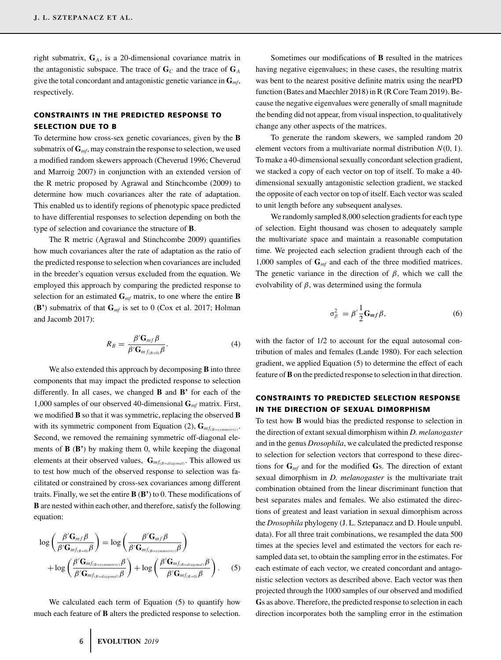right submatrix, **G***A*, is a 20-dimensional covariance matrix in the antagonistic subspace. The trace of  $\mathbf{G}_C$  and the trace of  $\mathbf{G}_A$ give the total concordant and antagonistic genetic variance in **G***mf*, respectively.

## **CONSTRAINTS IN THE PREDICTED RESPONSE TO SELECTION DUE TO B**

To determine how cross-sex genetic covariances, given by the **B** submatrix of **G***mf*, may constrain the response to selection, we used a modified random skewers approach (Cheverud 1996; Cheverud and Marroig 2007) in conjunction with an extended version of the R metric proposed by Agrawal and Stinchcombe (2009) to determine how much covariances alter the rate of adaptation. This enabled us to identify regions of phenotypic space predicted to have differential responses to selection depending on both the type of selection and covariance the structure of **B**.

The R metric (Agrawal and Stinchcombe 2009) quantifies how much covariances alter the rate of adaptation as the ratio of the predicted response to selection when covariances are included in the breeder's equation versus excluded from the equation. We employed this approach by comparing the predicted response to selection for an estimated  $\mathbf{G}_{mf}$  matrix, to one where the entire **B** (**B'**) submatrix of that **G***mf* is set to 0 (Cox et al. 2017; Holman and Jacomb 2017):

$$
R_B = \frac{\beta' \mathbf{G}_{mf} \beta}{\beta' \mathbf{G}_{mf(B=0)} \beta}.
$$
 (4)

We also extended this approach by decomposing **B** into three components that may impact the predicted response to selection differently. In all cases, we changed **B** and **B'** for each of the 1,000 samples of our observed 40-dimensional **G***mf* matrix. First, we modified **B** so that it was symmetric, replacing the observed **B** with its symmetric component from Equation (2),  $\mathbf{G}_{mf_{(B=symmetric)}}$ . Second, we removed the remaining symmetric off-diagonal elements of **B** (**B'**) by making them 0, while keeping the diagonal elements at their observed values, **G***mf*(*B*=*diagonal*) . This allowed us to test how much of the observed response to selection was facilitated or constrained by cross-sex covariances among different traits. Finally, we set the entire **B** (**B'**) to 0. These modifications of **B** are nested within each other, and therefore, satisfy the following equation:

$$
\log\left(\frac{\beta'\mathbf{G}_{mf}\beta}{\beta'\mathbf{G}_{mf_{(B=0)}}\beta}\right) = \log\left(\frac{\beta'\mathbf{G}_{mf}\beta}{\beta'\mathbf{G}_{mf_{(B=symmetric)}}\beta}\right) + \log\left(\frac{\beta'\mathbf{G}_{mf_{(B=symmetric)}}\beta}{\beta'\mathbf{G}_{mf_{(B=symmetric)}}\beta}\right) + \log\left(\frac{\beta'\mathbf{G}_{mf_{(B=diagonal)}}\beta}{\beta'\mathbf{G}_{mf_{(B=0)}}\beta}\right). \tag{5}
$$

We calculated each term of Equation (5) to quantify how much each feature of **B** alters the predicted response to selection.

Sometimes our modifications of **B** resulted in the matrices having negative eigenvalues; in these cases, the resulting matrix was bent to the nearest positive definite matrix using the nearPD function (Bates and Maechler 2018) in R (R Core Team 2019). Because the negative eigenvalues were generally of small magnitude the bending did not appear, from visual inspection, to qualitatively change any other aspects of the matrices.

To generate the random skewers, we sampled random 20 element vectors from a multivariate normal distribution *N*(0, 1). To make a 40-dimensional sexually concordant selection gradient, we stacked a copy of each vector on top of itself. To make a 40 dimensional sexually antagonistic selection gradient, we stacked the opposite of each vector on top of itself. Each vector was scaled to unit length before any subsequent analyses.

We randomly sampled 8,000 selection gradients for each type of selection. Eight thousand was chosen to adequately sample the multivariate space and maintain a reasonable computation time. We projected each selection gradient through each of the 1,000 samples of **G***mf* and each of the three modified matrices. The genetic variance in the direction of  $\beta$ , which we call the evolvability of  $\beta$ , was determined using the formula

$$
\sigma_{\beta}^{2} = \beta' \frac{1}{2} \mathbf{G}_{mf} \beta, \tag{6}
$$

with the factor of  $1/2$  to account for the equal autosomal contribution of males and females (Lande 1980). For each selection gradient, we applied Equation (5) to determine the effect of each feature of**B**on the predicted response to selection in that direction.

### **CONSTRAINTS TO PREDICTED SELECTION RESPONSE IN THE DIRECTION OF SEXUAL DIMORPHISM**

To test how **B** would bias the predicted response to selection in the direction of extant sexual dimorphism within *D. melanogaster* and in the genus *Drosophila*, we calculated the predicted response to selection for selection vectors that correspond to these directions for **G***mf* and for the modified **G**s. The direction of extant sexual dimorphism in *D. melanogaster* is the multivariate trait combination obtained from the linear discriminant function that best separates males and females. We also estimated the directions of greatest and least variation in sexual dimorphism across the *Drosophila* phylogeny (J. L. Sztepanacz and D. Houle unpubl. data). For all three trait combinations, we resampled the data 500 times at the species level and estimated the vectors for each resampled data set, to obtain the sampling error in the estimates. For each estimate of each vector, we created concordant and antagonistic selection vectors as described above. Each vector was then projected through the 1000 samples of our observed and modified **G**s as above. Therefore, the predicted response to selection in each direction incorporates both the sampling error in the estimation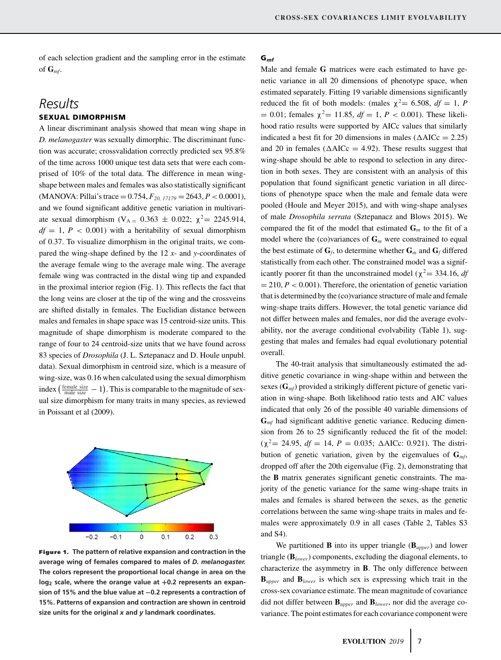of each selection gradient and the sampling error in the estimate of  $\mathbf{G}_{mf}$ .

# *Results*

# **SEXUAL DIMORPHISM**

A linear discriminant analysis showed that mean wing shape in *D. melanogaster* was sexually dimorphic. The discriminant function was accurate; crossvalidation correctly predicted sex 95.8% of the time across 1000 unique test data sets that were each comprised of 10% of the total data. The difference in mean wingshape between males and females was also statistically significant  $(MANOVA: Pillai's trace = 0.754, F<sub>20, 17179</sub>$  = 2643,  $P < 0.0001$ ), and we found significant additive genetic variation in multivariate sexual dimorphism (V<sub>A =</sub> 0.363  $\pm$  0.022;  $\chi^2$  = 2245.914,  $df = 1, P < 0.001$ ) with a heritability of sexual dimorphism of 0.37. To visualize dimorphism in the original traits, we compared the wing-shape defined by the 12 *x*- and *y*-coordinates of the average female wing to the average male wing. The average female wing was contracted in the distal wing tip and expanded in the proximal interior region (Fig. 1). This reflects the fact that the long veins are closer at the tip of the wing and the crossveins are shifted distally in females. The Euclidian distance between males and females in shape space was 15 centroid-size units. This magnitude of shape dimorphism is moderate compared to the range of four to 24 centroid-size units that we have found across 83 species of *Drosophila* (J. L. Sztepanacz and D. Houle unpubl. data). Sexual dimorphism in centroid size, which is a measure of wing-size, was 0.16 when calculated using the sexual dimorphism index  $(\frac{\text{female size}}{\text{male size}} - 1)$ . This is comparable to the magnitude of sexual size dimorphism for many traits in many species, as reviewed in Poissant et al (2009).



**Figure 1. The pattern of relative expansion and contraction in the average wing of females compared to males of** *D. melanogaster.* **The colors represent the proportional local change in area on the log2 scale, where the orange value at +0.2 represents an expansion of 15% and the blue value at −0.2 represents a contraction of 15%. Patterns of expansion and contraction are shown in centroid size units for the original** *x* **and** *y* **landmark coordinates.**

#### **G***mf*

Male and female **G** matrices were each estimated to have genetic variance in all 20 dimensions of phenotype space, when estimated separately. Fitting 19 variable dimensions significantly reduced the fit of both models: (males  $\chi^2$  = 6.508, *df* = 1, *P* = 0.01; females  $\chi^2$  = 11.85, *df* = 1, *P* < 0.001). These likelihood ratio results were supported by AICc values that similarly indicated a best fit for 20 dimensions in males  $(\Delta AICc = 2.25)$ and 20 in females ( $\triangle AICc = 4.92$ ). These results suggest that wing-shape should be able to respond to selection in any direction in both sexes. They are consistent with an analysis of this population that found significant genetic variation in all directions of phenotype space when the male and female data were pooled (Houle and Meyer 2015), and with wing-shape analyses of male *Drosophila serrata* (Sztepanacz and Blows 2015). We compared the fit of the model that estimated  $\mathbf{G}_m$  to the fit of a model where the (co)variances of  $\mathbf{G}_m$  were constrained to equal the best estimate of  $\mathbf{G}_f$ , to determine whether  $\mathbf{G}_m$  and  $\mathbf{G}_f$  differed statistically from each other. The constrained model was a significantly poorer fit than the unconstrained model ( $\chi^2$  = 334.16, *df*  $= 210, P < 0.001$ ). Therefore, the orientation of genetic variation that is determined by the (co)variance structure of male and female wing-shape traits differs. However, the total genetic variance did not differ between males and females, nor did the average evolvability, nor the average conditional evolvability (Table 1), suggesting that males and females had equal evolutionary potential overall.

The 40-trait analysis that simultaneously estimated the additive genetic covariance in wing-shape within and between the sexes (**G***mf*) provided a strikingly different picture of genetic variation in wing-shape. Both likelihood ratio tests and AIC values indicated that only 26 of the possible 40 variable dimensions of **G***mf* had significant additive genetic variance. Reducing dimension from 26 to 25 significantly reduced the fit of the model:  $(\chi^2 = 24.95, df = 14, P = 0.035; \triangle AICc: 0.921)$ . The distribution of genetic variation, given by the eigenvalues of **G***mf*, dropped off after the 20th eigenvalue (Fig. 2), demonstrating that the **B** matrix generates significant genetic constraints. The majority of the genetic variance for the same wing-shape traits in males and females is shared between the sexes, as the genetic correlations between the same wing-shape traits in males and females were approximately 0.9 in all cases (Table 2, Tables S3 and S4).

We partitioned **B** into its upper triangle (**B***upper*) and lower triangle (**B***lower*) components, excluding the diagonal elements, to characterize the asymmetry in **B**. The only difference between **B***upper* and **B***lower* is which sex is expressing which trait in the cross-sex covariance estimate. The mean magnitude of covariance did not differ between **B***upper* and **B***lower*, nor did the average covariance. The point estimates for each covariance component were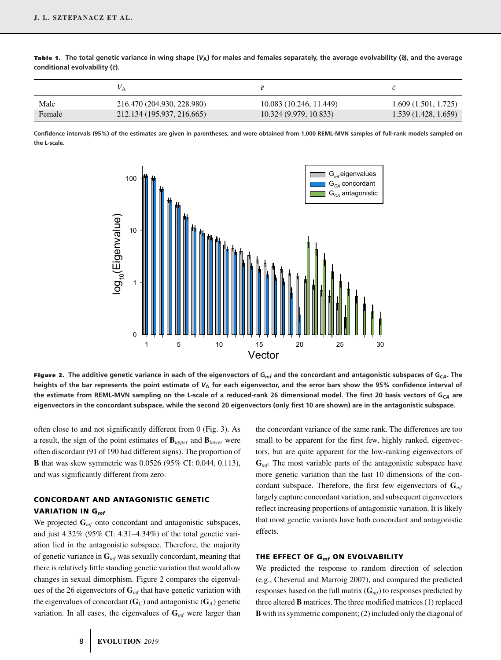**Table 1.** The total genetic variance in wing shape  $(V_A)$  for males and females separately, the average evolvability ( $\dot{e}$ ), and the average **conditional evolvability (¯***c***).**

| Male   | 216.470 (204.930, 228.980) | 10.083 (10.246, 11.449) | 1.609(1.501, 1.725) |
|--------|----------------------------|-------------------------|---------------------|
| Female | 212.134 (195.937, 216.665) | 10.324 (9.979, 10.833)  | 1.539(1.428, 1.659) |

**Confidence intervals (95%) of the estimates are given in parentheses, and were obtained from 1,000 REML-MVN samples of full-rank models sampled on the L-scale.**



**Figure 2. The additive genetic variance in each of the eigenvectors of G***mf* **and the concordant and antagonistic subspaces of G***CA***. The heights of the bar represents the point estimate of** *V***<sup>A</sup> for each eigenvector, and the error bars show the 95% confidence interval of the estimate from REML-MVN sampling on the L-scale of a reduced-rank 26 dimensional model. The first 20 basis vectors of G***CA* **are eigenvectors in the concordant subspace, while the second 20 eigenvectors (only first 10 are shown) are in the antagonistic subspace.**

often close to and not significantly different from 0 (Fig. 3). As a result, the sign of the point estimates of **B***upper* and **B***lower* were often discordant (91 of 190 had different signs). The proportion of **B** that was skew symmetric was 0.0526 (95% CI: 0.044, 0.113), and was significantly different from zero.

# **CONCORDANT AND ANTAGONISTIC GENETIC VARIATION IN G***mf*

We projected  $\mathbf{G}_{mf}$  onto concordant and antagonistic subspaces, and just 4.32% (95% CI: 4.31–4.34%) of the total genetic variation lied in the antagonistic subspace. Therefore, the majority of genetic variance in **G***mf* was sexually concordant, meaning that there is relatively little standing genetic variation that would allow changes in sexual dimorphism. Figure 2 compares the eigenvalues of the 26 eigenvectors of **G***mf* that have genetic variation with the eigenvalues of concordant  $(\mathbf{G}_C)$  and antagonistic  $(\mathbf{G}_A)$  genetic variation. In all cases, the eigenvalues of  $\mathbf{G}_{mf}$  were larger than

the concordant variance of the same rank. The differences are too small to be apparent for the first few, highly ranked, eigenvectors, but are quite apparent for the low-ranking eigenvectors of **G***mf*. The most variable parts of the antagonistic subspace have more genetic variation than the last 10 dimensions of the concordant subspace. Therefore, the first few eigenvectors of **G***mf* largely capture concordant variation, and subsequent eigenvectors reflect increasing proportions of antagonistic variation. It is likely that most genetic variants have both concordant and antagonistic effects.

#### **THE EFFECT OF G***mf* **ON EVOLVABILITY**

We predicted the response to random direction of selection (e.g., Cheverud and Marroig 2007), and compared the predicted responses based on the full matrix (**G***mf*) to responses predicted by three altered **B** matrices. The three modified matrices (1) replaced **B** with its symmetric component; (2) included only the diagonal of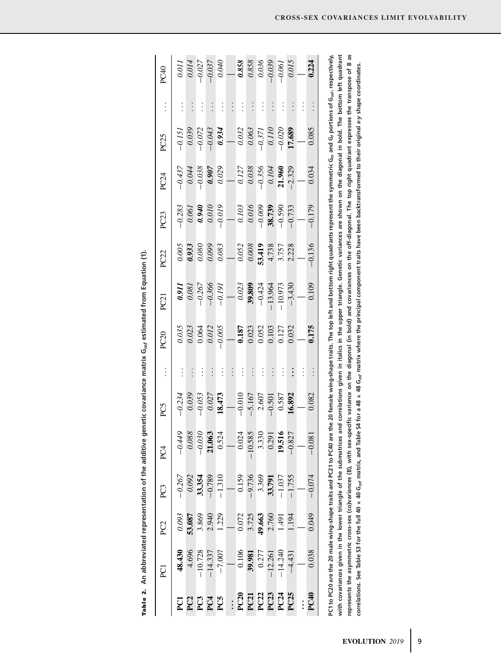|          |          |                  |          |                  |                 |           |          |                |          |                 |          |                 | with covariances given in the lower triangle of the submatrices and correlations given in italics in the upper triangle. Genetic variances are shown on the diagonal in bold. The bottom left quadrant                                           |                  |
|----------|----------|------------------|----------|------------------|-----------------|-----------|----------|----------------|----------|-----------------|----------|-----------------|--------------------------------------------------------------------------------------------------------------------------------------------------------------------------------------------------------------------------------------------------|------------------|
|          |          |                  |          |                  |                 |           |          |                |          |                 |          |                 | PC1 to PC20 are the 20 male wing-shape traits and PC21 to PC40 are the 20 female wing-shape traits. The top left and bottom right quadrants represent the symmetric G <sub>m</sub> and G <sub>r</sub> portions of G <sub>m/r</sub> respectively, |                  |
| 0.224    |          | 0.085            | 0.034    | $-0.179$         | $-0.136$        | 0.109     | 0.175    |                | 0.082    | $-0.081$        | $-0.074$ | 0.049           | 0.038                                                                                                                                                                                                                                            | PC <sub>40</sub> |
|          | $\vdots$ |                  |          |                  |                 |           |          | $\vdots$       |          |                 |          |                 |                                                                                                                                                                                                                                                  |                  |
| 0.015    | $\vdots$ | 17.689           | $-2.329$ | $-0.733$         | 2.228           | $-3.430$  | 0.032    | $\ddot{\cdot}$ | 16.892   | $-0.827$        | $-1.755$ | 1.194           | $-4.431$                                                                                                                                                                                                                                         | <b>PC25</b>      |
| $-0.061$ | $\vdots$ | $-0.020$         | 21.960   | $-0.590$         | 3.757           | $-10.973$ | 0.127    | $\vdots$       | 0.587    | 19.516          | $-1.037$ | 1.491           | $-14.240$                                                                                                                                                                                                                                        | PC24             |
| $-0.039$ | $\vdots$ | 0.110            | 0.104    | 38.739           | 4.738           | $-13.964$ | 0.103    | $\vdots$       | $-0.501$ | 0.291           | 33.791   | 2.760           | $-12.261$                                                                                                                                                                                                                                        | PC23             |
| 0.036    | $\vdots$ | $-0.371$         | $-0.356$ | $-0.009$         | 53.419          | $-0.424$  | 0.052    | $\vdots$       | 2.607    | 3.330           | 3.369    | 49.663          | 0.277                                                                                                                                                                                                                                            | PC22             |
| 0.858    | $\vdots$ | 0.063            | 0.038    | 0.016            | 0.008           | 39,809    | 0.023    | $\vdots$       | $-5.167$ | $-10.585$       | $-9.736$ | 3.725           | 39.981                                                                                                                                                                                                                                           | PC21             |
| 0.858    | $\vdots$ | 0.032            | 0.127    | 0.103            | 0.052           | 0.023     | 0.187    | $\vdots$       | $-0.010$ | 0.024           | 0.159    | 0.072           | 0.106                                                                                                                                                                                                                                            | <b>PC20</b>      |
|          | $\vdots$ |                  |          |                  |                 |           |          | $\vdots$       |          |                 |          |                 |                                                                                                                                                                                                                                                  | $\ddot{\cdot}$   |
| 0.040    | $\vdots$ | 0.934            | 0.029    | $-0.019$         | 0.083           | $-0.191$  | $-0.005$ | $\vdots$       | 18.473   | 0.524           | $-1.310$ | 1.229           | $-7.007$                                                                                                                                                                                                                                         | PC5              |
| $-0.037$ | $\vdots$ | $-0.043$         | 0.907    | 0.010            | 0.099           | $-0.366$  | 0.012    | $\vdots$       | 0.027    | 21.063          | $-0.789$ | 2.940           | $-14.337$                                                                                                                                                                                                                                        | PC <sub>4</sub>  |
| $-0.027$ | $\vdots$ | $-0.072$         | $-0.038$ | 0.940            | 0.080           | $-0.267$  | 0.064    | $\vdots$       | $-0.053$ | $-0.030$        | 33.354   | 3.869           | $-10.728$                                                                                                                                                                                                                                        | PC3              |
| 0.014    | $\vdots$ | 0.039            | 0.044    | 0.061            | 0.933           | 0.081     | 0.023    | $\vdots$       | 0.039    | 0.088           | 0.092    | 53.087          | 4.696                                                                                                                                                                                                                                            | PC <sub>2</sub>  |
| 0.011    | $\vdots$ | $-0.151$         | $-0.437$ | $-0.283$         | 0.005           | 0.911     | 0.035    | $\vdots$       | $-0.234$ | $-0.449$        | $-0.267$ | 0.093           | 48.430                                                                                                                                                                                                                                           | ្ត្              |
| PC40     | $\vdots$ | PC <sub>25</sub> | PC24     | PC <sub>23</sub> | PC <sub>2</sub> | PC21      | PC20     |                | PC5      | PC <sub>4</sub> | PC3      | PC <sub>2</sub> | g                                                                                                                                                                                                                                                |                  |

Table 2. An abbreviated representation of the additive genetic covariance matrix  $G_{m f}$  estimated from Equation (1). Table 2. An abbreviated representation of the additive genetic covariance matrix  $\mathrm{G}_{m\!f}$  estimated from Equation (1).

represents the asymmetric cross-sex (co)variances (B), with sex-specific variance on the diagonal (in bold) and covariances on the off-diagonal. The top right quadrant expresses the transpose of B as correlations. See Table S3 for the full 40 x 40 G<sub>nf</sub> matrix, and Table S4 for a 48 x 48 G<sub>nf</sub> matrix where the principal component traits have been backtransformed to their original x-y shape coordinates.

correlations. See Table S3 for the full 40 x 40 G<sub>mf</sub> matrix, and Table S4 for a 48 x 48 G<sub>mf</sub> matrix where the principal component traits have been backtransformed to their original x-y shape coordinates.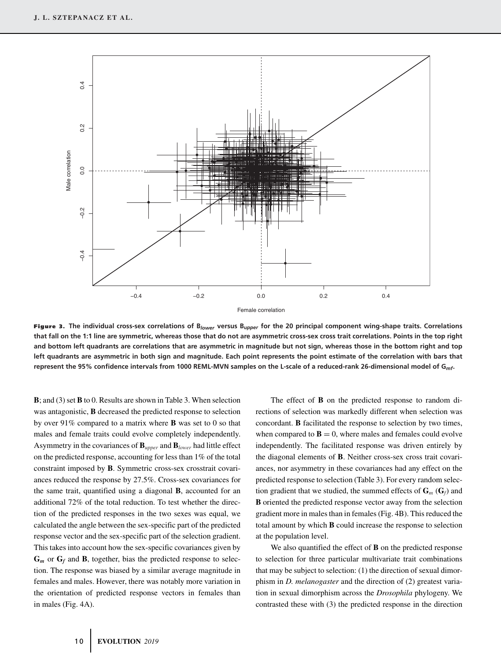

**Figure 3. The individual cross-sex correlations of B***lower* **versus B***upper* **for the 20 principal component wing-shape traits. Correlations that fall on the 1:1 line are symmetric, whereas those that do not are asymmetric cross-sex cross trait correlations. Points in the top right and bottom left quadrants are correlations that are asymmetric in magnitude but not sign, whereas those in the bottom right and top left quadrants are asymmetric in both sign and magnitude. Each point represents the point estimate of the correlation with bars that represent the 95% confidence intervals from 1000 REML-MVN samples on the L-scale of a reduced-rank 26-dimensional model of G***mf***.**

**B**; and (3) set **B** to 0. Results are shown in Table 3. When selection was antagonistic, **B** decreased the predicted response to selection by over 91% compared to a matrix where **B** was set to 0 so that males and female traits could evolve completely independently. Asymmetry in the covariances of  $\mathbf{B}_{\text{upper}}$  and  $\mathbf{B}_{\text{lower}}$  had little effect on the predicted response, accounting for less than 1% of the total constraint imposed by **B**. Symmetric cross-sex crosstrait covariances reduced the response by 27.5%. Cross-sex covariances for the same trait, quantified using a diagonal **B**, accounted for an additional 72% of the total reduction. To test whether the direction of the predicted responses in the two sexes was equal, we calculated the angle between the sex-specific part of the predicted response vector and the sex-specific part of the selection gradient. This takes into account how the sex-specific covariances given by  $G_m$  or  $G_f$  and **B**, together, bias the predicted response to selection. The response was biased by a similar average magnitude in females and males. However, there was notably more variation in the orientation of predicted response vectors in females than in males (Fig. 4A).

The effect of **B** on the predicted response to random directions of selection was markedly different when selection was concordant. **B** facilitated the response to selection by two times, when compared to  $\mathbf{B} = 0$ , where males and females could evolve independently. The facilitated response was driven entirely by the diagonal elements of **B**. Neither cross-sex cross trait covariances, nor asymmetry in these covariances had any effect on the predicted response to selection (Table 3). For every random selection gradient that we studied, the summed effects of  $\mathbf{G}_m$  ( $\mathbf{G}_f$ ) and **B** oriented the predicted response vector away from the selection gradient more in males than in females (Fig. 4B). This reduced the total amount by which **B** could increase the response to selection at the population level.

We also quantified the effect of **B** on the predicted response to selection for three particular multivariate trait combinations that may be subject to selection: (1) the direction of sexual dimorphism in *D. melanogaster* and the direction of (2) greatest variation in sexual dimorphism across the *Drosophila* phylogeny. We contrasted these with (3) the predicted response in the direction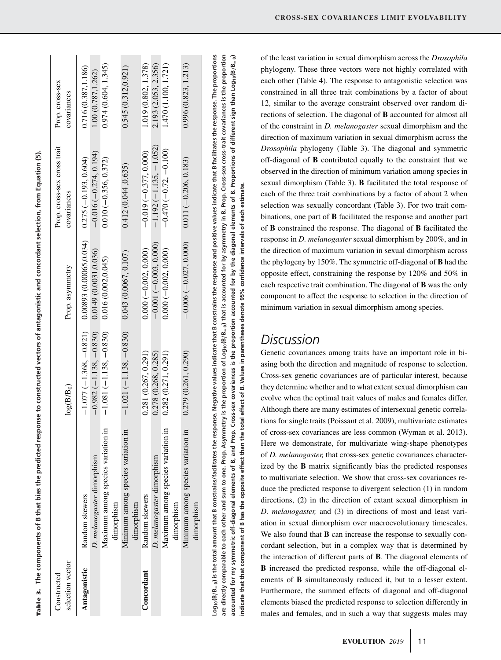| į<br>έ                                      |
|---------------------------------------------|
| ļ                                           |
| :                                           |
| ׇ֚֚֕֕<br>l                                  |
|                                             |
|                                             |
|                                             |
|                                             |
|                                             |
|                                             |
|                                             |
|                                             |
|                                             |
|                                             |
| ֧֚֝<br>֧֧֧֦֧֦֧֧֚֚֚֚֚֚֚֚֚֚֚֚֚֚֚֚֚֚֚֝֝֝֝֬֝֬֝֓ |
|                                             |
|                                             |
|                                             |
|                                             |
|                                             |
|                                             |
|                                             |
| ו<br>:                                      |
|                                             |
|                                             |
| i<br>!                                      |
|                                             |
|                                             |
|                                             |
|                                             |
|                                             |
|                                             |
| ĺ                                           |
|                                             |
| )<br>}<br>}                                 |
| ū<br>I<br>i                                 |
|                                             |
| of B                                        |
|                                             |
|                                             |
|                                             |
|                                             |
|                                             |
| i                                           |
| )<br>}<br>֠                                 |
| l                                           |

| selection vector<br>Constructed |                                                                                                                                                                                                                                 | $log(B/B_0)$             | Prop. asymmetry         | Prop. cross-sex cross trait<br>covariances | Prop. cross-sex<br>covariances |
|---------------------------------|---------------------------------------------------------------------------------------------------------------------------------------------------------------------------------------------------------------------------------|--------------------------|-------------------------|--------------------------------------------|--------------------------------|
| Antagonistic                    | Random skewers                                                                                                                                                                                                                  | $-1.077(-1.368, -0.821)$ | 0.00893 (0.00065.0.034) | $0.275(-0.193, 0.604)$                     | 0.716 (0.387,1.186)            |
|                                 | D. melanogaster dimorphism                                                                                                                                                                                                      | $-0.982(-1.138, -0.830)$ | 0.0149(0.0031.0036)     | $-0.016(-0.274, 0.194)$                    | 1.00(0.787, 1.262)             |
|                                 | Maximum among species variation in<br>dimorphism                                                                                                                                                                                | $-1.081(-1.138, -0.830)$ | 0.016(0.002, 0.045)     | $0.010 (-0.356, 0.372)$                    | 0.974(0.604, 1.345)            |
|                                 | Minimum among species variation in<br>dimorphism                                                                                                                                                                                | $-1.021(-1.138, -0.830)$ | 0.043(0.0067, 0.107)    | 0.412(0.044, 0.635)                        | 0.545(0.312, 0.921)            |
| Concordant                      | Random skewers                                                                                                                                                                                                                  | 0.281(0.267, 0.291)      | $0.000 (-0.002, 0.000)$ | $-0.019(-0.377, 0.000)$                    | 1.019 (0.802, 1.378)           |
|                                 | D. melanogaster dimorphism                                                                                                                                                                                                      | 0.278(0.268, 0.285)      | $-0.001(-0.003, 0.000)$ | $-1.192(-1.135, -1.052)$                   | 2.193 (2.053, 2.356)           |
|                                 | Maximum among species variation ir<br>dimorphism                                                                                                                                                                                | 0.282(0.271, 0.291)      | $0.000 (-0.002, 0.000)$ | $-0.470(-0.72,-0.100)$                     | 1.470(1.100, 1.721)            |
|                                 | Minimum among species variation in<br>dimorphism                                                                                                                                                                                | 0.279(0.261, 0.290)      | $-0.006(-0.027, 0.000)$ | $0.011(-0.206, 0.183)$                     | 0.996(0.823, 1.213)            |
|                                 | $\log_{10}(B/B_{\rm{m}})$ is the total amount that B constrains/facilitates the response. Negative values indicate that B constrains the response and positive values indicate that B facilitates the response. The proportions |                          |                         |                                            |                                |

of the least variation in sexual dimorphism across the *Drosophila* phylogeny. These three vectors were not highly correlated with each other (Table 4). The response to antagonistic selection was constrained in all three trait combinations by a factor of about 12, similar to the average constraint observed over random directions of selection. The diagonal of **B** accounted for almost all of the constraint in *D. melanogaster* sexual dimorphism and the direction of maximum variation in sexual dimorphism across the *Drosophila* phylogeny (Table 3). The diagonal and symmetric off-diagonal of **B** contributed equally to the constraint that we observed in the direction of minimum variation among species in sexual dimorphism (Table 3). **B** facilitated the total response of each of the three trait combinations by a factor of about 2 when selection was sexually concordant (Table 3). For two trait combinations, one part of **B** facilitated the response and another part of **B** constrained the response. The diagonal of **B** facilitated the response in *D. melanogaster* sexual dimorphism by 200%, and in the direction of maximum variation in sexual dimorphism across the phylogeny by 150%. The symmetric off-diagonal of **B** had the opposite effect, constraining the response by 120% and 50% in each respective trait combination. The diagonal of **B** was the only component to affect the response to selection in the direction of minimum variation in sexual dimorphism among species.

# *Discussion*

are directly comparable to each other and sum to one. Prop. Asymmetry is the proportion of Log<sub>10</sub>(B/B<sub>=0</sub>) that is accounted for by asymmetry in B, Prop. Cross-sex cross-trait covariances is the proportion accounted for my symmetric off-diagonal elements of B, and Prop. Cross-sex covariances is the proportion accounted for by the diagonal elements of B. Proportions of different sign than Log<sub>10</sub>(B/B<sub>=0</sub>)

are directly comparable to each other and sum to one. Prop. Asymmetry is the proportion of Log<sub>10</sub>(B/B<sub>=0</sub>) that is accounted for by asymmetry in B, Prop. Cross-sex cross-trait covariances is the proportion accounted for my symmetric off-diagonal elements of B, and Prop. Cross-sex covariances is the proportion accounted for by the diagonal elements of B. Proportions of different sign than Log<sub>10</sub>(B\_a)

indicate that that component of B has the opposite effect than the total effect of B. Values in parentheses denote 95% confidence intervals of each estimate.

indicate that that component of B has the opposite effect than the total effect of B. Values in parentheses denote 95% confidence intervals of each estimate.

Genetic covariances among traits have an important role in biasing both the direction and magnitude of response to selection. Cross-sex genetic covariances are of particular interest, because they determine whether and to what extent sexual dimorphism can evolve when the optimal trait values of males and females differ. Although there are many estimates of intersexual genetic correlations for single traits (Poissant et al. 2009), multivariate estimates of cross-sex covariances are less common (Wyman et al. 2013). Here we demonstrate, for multivariate wing-shape phenotypes of *D. melanogaster,* that cross-sex genetic covariances characterized by the **B** matrix significantly bias the predicted responses to multivariate selection. We show that cross-sex covariances reduce the predicted response to divergent selection (1) in random directions, (2) in the direction of extant sexual dimorphism in *D. melanogaster,* and (3) in directions of most and least variation in sexual dimorphism over macroevolutionary timescales. We also found that **B** can increase the response to sexually concordant selection, but in a complex way that is determined by the interaction of different parts of **B**. The diagonal elements of **B** increased the predicted response, while the off-diagonal elements of **B** simultaneously reduced it, but to a lesser extent. Furthermore, the summed effects of diagonal and off-diagonal elements biased the predicted response to selection differently in males and females, and in such a way that suggests males may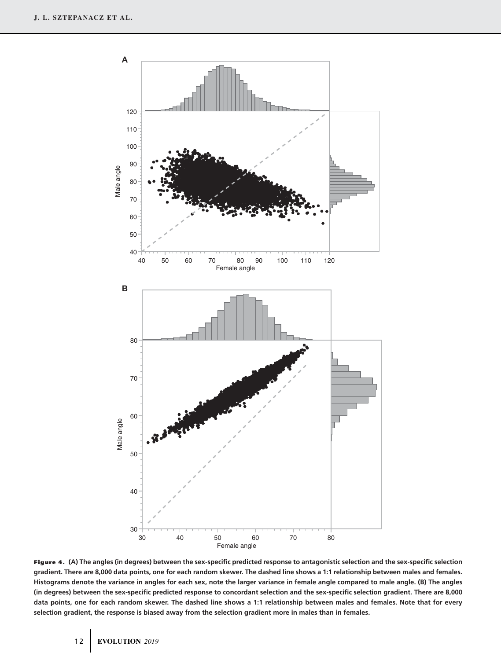

**Figure 4. (A) The angles (in degrees) between the sex-specific predicted response to antagonistic selection and the sex-specific selection gradient. There are 8,000 data points, one for each random skewer. The dashed line shows a 1:1 relationship between males and females. Histograms denote the variance in angles for each sex, note the larger variance in female angle compared to male angle. (B) The angles (in degrees) between the sex-specific predicted response to concordant selection and the sex-specific selection gradient. There are 8,000 data points, one for each random skewer. The dashed line shows a 1:1 relationship between males and females. Note that for every selection gradient, the response is biased away from the selection gradient more in males than in females.**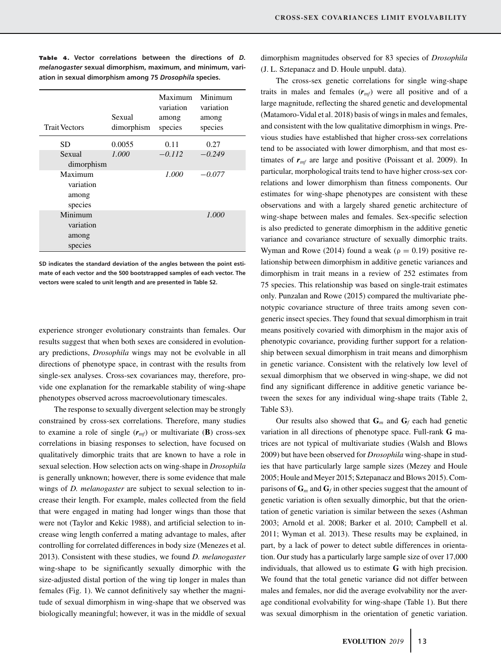| <b>Trait Vectors</b>                     | Sexual<br>dimorphism | Maximum<br>variation<br>among<br>species | Minimum<br>variation<br>among<br>species |
|------------------------------------------|----------------------|------------------------------------------|------------------------------------------|
| SD.                                      | 0.0055               | 0.11                                     | 0.27                                     |
| Sexual<br>dimorphism                     | 1.000                | $-0.112$                                 | $-0.249$                                 |
| Maximum<br>variation<br>among<br>species |                      | 1.000                                    | $-0.077$                                 |
| Minimum<br>variation<br>among<br>species |                      |                                          | 1.000                                    |

**Tab le 4. Vector correlations between the directions of** *D. melanogaster* **sexual dimorphism, maximum, and minimum, variation in sexual dimorphism among 75** *Drosophila* **species.**

**SD indicates the standard deviation of the angles between the point estimate of each vector and the 500 bootstrapped samples of each vector. The vectors were scaled to unit length and are presented in Table S2.**

experience stronger evolutionary constraints than females. Our results suggest that when both sexes are considered in evolutionary predictions, *Drosophila* wings may not be evolvable in all directions of phenotype space, in contrast with the results from single-sex analyses. Cross-sex covariances may, therefore, provide one explanation for the remarkable stability of wing-shape phenotypes observed across macroevolutionary timescales.

The response to sexually divergent selection may be strongly constrained by cross-sex correlations. Therefore, many studies to examine a role of single  $(r_{mf})$  or multivariate (**B**) cross-sex correlations in biasing responses to selection, have focused on qualitatively dimorphic traits that are known to have a role in sexual selection. How selection acts on wing-shape in *Drosophila* is generally unknown; however, there is some evidence that male wings of *D. melanogaster* are subject to sexual selection to increase their length. For example, males collected from the field that were engaged in mating had longer wings than those that were not (Taylor and Kekic 1988), and artificial selection to increase wing length conferred a mating advantage to males, after controlling for correlated differences in body size (Menezes et al. 2013). Consistent with these studies, we found *D. melanogaster* wing-shape to be significantly sexually dimorphic with the size-adjusted distal portion of the wing tip longer in males than females (Fig. 1). We cannot definitively say whether the magnitude of sexual dimorphism in wing-shape that we observed was biologically meaningful; however, it was in the middle of sexual

dimorphism magnitudes observed for 83 species of *Drosophila* (J. L. Sztepanacz and D. Houle unpubl. data).

The cross-sex genetic correlations for single wing-shape traits in males and females  $(r_{mf})$  were all positive and of a large magnitude, reflecting the shared genetic and developmental (Matamoro-Vidal et al. 2018) basis of wings in males and females, and consistent with the low qualitative dimorphism in wings. Previous studies have established that higher cross-sex correlations tend to be associated with lower dimorphism, and that most estimates of  $r_{mf}$  are large and positive (Poissant et al. 2009). In particular, morphological traits tend to have higher cross-sex correlations and lower dimorphism than fitness components. Our estimates for wing-shape phenotypes are consistent with these observations and with a largely shared genetic architecture of wing-shape between males and females. Sex-specific selection is also predicted to generate dimorphism in the additive genetic variance and covariance structure of sexually dimorphic traits. Wyman and Rowe (2014) found a weak ( $\rho = 0.19$ ) positive relationship between dimorphism in additive genetic variances and dimorphism in trait means in a review of 252 estimates from 75 species. This relationship was based on single-trait estimates only. Punzalan and Rowe (2015) compared the multivariate phenotypic covariance structure of three traits among seven congeneric insect species. They found that sexual dimorphism in trait means positively covaried with dimorphism in the major axis of phenotypic covariance, providing further support for a relationship between sexual dimorphism in trait means and dimorphism in genetic variance. Consistent with the relatively low level of sexual dimorphism that we observed in wing-shape, we did not find any significant difference in additive genetic variance between the sexes for any individual wing-shape traits (Table 2, Table S3).

Our results also showed that  $\mathbf{G}_m$  and  $\mathbf{G}_f$  each had genetic variation in all directions of phenotype space. Full-rank **G** matrices are not typical of multivariate studies (Walsh and Blows 2009) but have been observed for *Drosophila* wing-shape in studies that have particularly large sample sizes (Mezey and Houle 2005; Houle and Meyer 2015; Sztepanacz and Blows 2015). Comparisons of  $\mathbf{G}_m$  and  $\mathbf{G}_f$  in other species suggest that the amount of genetic variation is often sexually dimorphic, but that the orientation of genetic variation is similar between the sexes (Ashman 2003; Arnold et al. 2008; Barker et al. 2010; Campbell et al. 2011; Wyman et al. 2013). These results may be explained, in part, by a lack of power to detect subtle differences in orientation. Our study has a particularly large sample size of over 17,000 individuals, that allowed us to estimate **G** with high precision. We found that the total genetic variance did not differ between males and females, nor did the average evolvability nor the average conditional evolvability for wing-shape (Table 1). But there was sexual dimorphism in the orientation of genetic variation.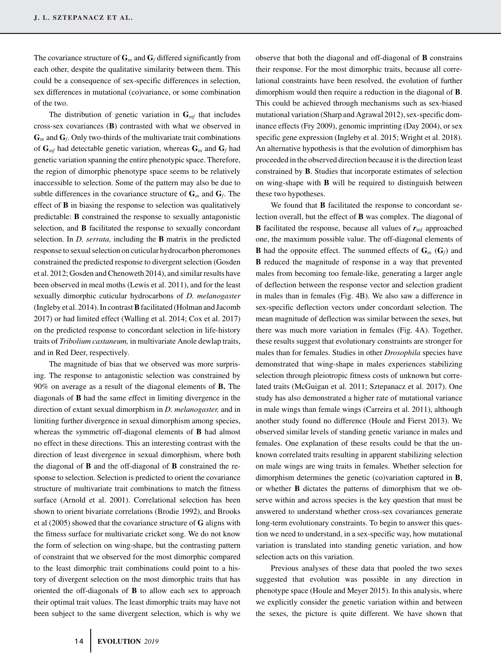The covariance structure of  $\mathbf{G}_m$  and  $\mathbf{G}_f$  differed significantly from each other, despite the qualitative similarity between them. This could be a consequence of sex-specific differences in selection, sex differences in mutational (co)variance, or some combination of the two.

The distribution of genetic variation in  $\mathbf{G}_{mf}$  that includes cross-sex covariances (**B**) contrasted with what we observed in  $\mathbf{G}_m$  and  $\mathbf{G}_f$ . Only two-thirds of the multivariate trait combinations of  $G_{mf}$  had detectable genetic variation, whereas  $G_m$  and  $G_f$  had genetic variation spanning the entire phenotypic space. Therefore, the region of dimorphic phenotype space seems to be relatively inaccessible to selection. Some of the pattern may also be due to subtle differences in the covariance structure of  $\mathbf{G}_m$  and  $\mathbf{G}_f$ . The effect of **B** in biasing the response to selection was qualitatively predictable: **B** constrained the response to sexually antagonistic selection, and **B** facilitated the response to sexually concordant selection. In *D. serrata,* including the **B** matrix in the predicted response to sexual selection on cuticular hydrocarbon pheromones constrained the predicted response to divergent selection (Gosden et al. 2012; Gosden and Chenoweth 2014), and similar results have been observed in meal moths (Lewis et al. 2011), and for the least sexually dimorphic cuticular hydrocarbons of *D. melanogaster* (Ingleby et al. 2014). In contrast**B**facilitated (Holman and Jacomb 2017) or had limited effect (Walling et al. 2014; Cox et al. 2017) on the predicted response to concordant selection in life-history traits of *Tribolium castaneum,* in multivariate Anole dewlap traits, and in Red Deer, respectively.

The magnitude of bias that we observed was more surprising. The response to antagonistic selection was constrained by 90% on average as a result of the diagonal elements of **B.** The diagonals of **B** had the same effect in limiting divergence in the direction of extant sexual dimorphism in *D. melanogaster,* and in limiting further divergence in sexual dimorphism among species, whereas the symmetric off-diagonal elements of **B** had almost no effect in these directions. This an interesting contrast with the direction of least divergence in sexual dimorphism, where both the diagonal of **B** and the off-diagonal of **B** constrained the response to selection. Selection is predicted to orient the covariance structure of multivariate trait combinations to match the fitness surface (Arnold et al. 2001). Correlational selection has been shown to orient bivariate correlations (Brodie 1992), and Brooks et al (2005) showed that the covariance structure of **G** aligns with the fitness surface for multivariate cricket song. We do not know the form of selection on wing-shape, but the contrasting pattern of constraint that we observed for the most dimorphic compared to the least dimorphic trait combinations could point to a history of divergent selection on the most dimorphic traits that has oriented the off-diagonals of **B** to allow each sex to approach their optimal trait values. The least dimorphic traits may have not been subject to the same divergent selection, which is why we

observe that both the diagonal and off-diagonal of **B** constrains their response. For the most dimorphic traits, because all correlational constraints have been resolved, the evolution of further dimorphism would then require a reduction in the diagonal of **B**. This could be achieved through mechanisms such as sex-biased mutational variation (Sharp and Agrawal 2012), sex-specific dominance effects (Fry 2009), genomic imprinting (Day 2004), or sex specific gene expression (Ingleby et al. 2015; Wright et al. 2018). An alternative hypothesis is that the evolution of dimorphism has proceeded in the observed direction because it is the direction least constrained by **B**. Studies that incorporate estimates of selection on wing-shape with **B** will be required to distinguish between these two hypotheses.

We found that **B** facilitated the response to concordant selection overall, but the effect of **B** was complex. The diagonal of **B** facilitated the response, because all values of  $r_{\text{mf}}$  approached one, the maximum possible value. The off-diagonal elements of **B** had the opposite effect. The summed effects of  $\mathbf{G}_m$  ( $\mathbf{G}_f$ ) and **B** reduced the magnitude of response in a way that prevented males from becoming too female-like, generating a larger angle of deflection between the response vector and selection gradient in males than in females (Fig. 4B). We also saw a difference in sex-specific deflection vectors under concordant selection. The mean magnitude of deflection was similar between the sexes, but there was much more variation in females (Fig. 4A). Together, these results suggest that evolutionary constraints are stronger for males than for females. Studies in other *Drosophila* species have demonstrated that wing-shape in males experiences stabilizing selection through pleiotropic fitness costs of unknown but correlated traits (McGuigan et al. 2011; Sztepanacz et al. 2017). One study has also demonstrated a higher rate of mutational variance in male wings than female wings (Carreira et al. 2011), although another study found no difference (Houle and Fierst 2013). We observed similar levels of standing genetic variance in males and females. One explanation of these results could be that the unknown correlated traits resulting in apparent stabilizing selection on male wings are wing traits in females. Whether selection for dimorphism determines the genetic (co)variation captured in **B**, or whether **B** dictates the patterns of dimorphism that we observe within and across species is the key question that must be answered to understand whether cross-sex covariances generate long-term evolutionary constraints. To begin to answer this question we need to understand, in a sex-specific way, how mutational variation is translated into standing genetic variation, and how selection acts on this variation.

Previous analyses of these data that pooled the two sexes suggested that evolution was possible in any direction in phenotype space (Houle and Meyer 2015). In this analysis, where we explicitly consider the genetic variation within and between the sexes, the picture is quite different. We have shown that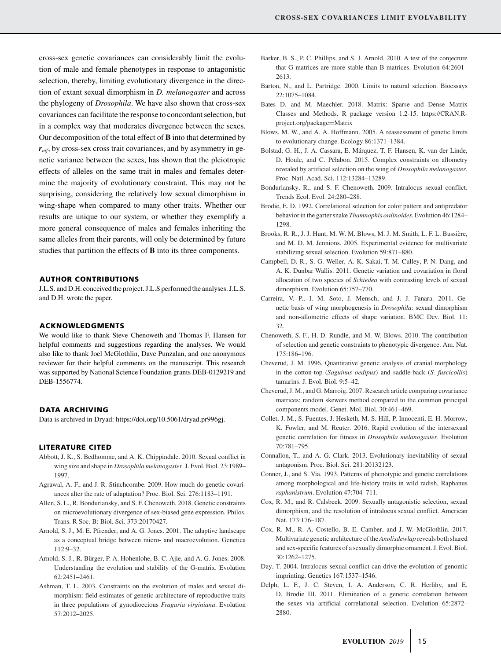cross-sex genetic covariances can considerably limit the evolution of male and female phenotypes in response to antagonistic selection, thereby, limiting evolutionary divergence in the direction of extant sexual dimorphism in *D. melanogaster* and across the phylogeny of *Drosophila*. We have also shown that cross-sex covariances can facilitate the response to concordant selection, but in a complex way that moderates divergence between the sexes. Our decomposition of the total effect of **B** into that determined by  $r<sub>mf</sub>$ , by cross-sex cross trait covariances, and by asymmetry in genetic variance between the sexes, has shown that the pleiotropic effects of alleles on the same trait in males and females determine the majority of evolutionary constraint. This may not be surprising, considering the relatively low sexual dimorphism in wing-shape when compared to many other traits. Whether our results are unique to our system, or whether they exemplify a more general consequence of males and females inheriting the same alleles from their parents, will only be determined by future studies that partition the effects of **B** into its three components.

#### **AUTHOR CONTRIBUTIONS**

J.L.S. and D.H. conceived the project. J.L.S performed the analyses. J.L.S. and D.H. wrote the paper.

#### **ACKNOWLEDGMENTS**

We would like to thank Steve Chenoweth and Thomas F. Hansen for helpful comments and suggestions regarding the analyses. We would also like to thank Joel McGlothlin, Dave Punzalan, and one anonymous reviewer for their helpful comments on the manuscript. This research was supported by National Science Foundation grants DEB-0129219 and DEB-1556774.

#### **DATA ARCHIVING**

Data is archived in Dryad: [https://doi.org/10.5061/dryad.pr996gj.](https://doi.org/10.5061/dryad.pr996gj)

#### **LITERATURE CITED**

- Abbott, J. K., S. Bedhomme, and A. K. Chippindale. 2010. Sexual conflict in wing size and shape in *Drosophila melanogaster*. J. Evol. Biol. 23:1989– 1997.
- Agrawal, A. F., and J. R. Stinchcombe. 2009. How much do genetic covariances alter the rate of adaptation? Proc. Biol. Sci. 276:1183–1191.
- Allen, S. L., R. Bonduriansky, and S. F. Chenoweth. 2018. Genetic constraints on microevolutionary divergence of sex-biased gene expression. Philos. Trans. R Soc. B: Biol. Sci. 373:20170427.
- Arnold, S. J., M. E. Pfrender, and A. G. Jones. 2001. The adaptive landscape as a conceptual bridge between micro- and macroevolution. Genetica 112:9–32.
- Arnold, S. J., R. Bürger, P. A. Hohenlohe, B. C. Ajie, and A. G. Jones. 2008. Understanding the evolution and stability of the G-matrix. Evolution 62:2451–2461.
- Ashman, T. L. 2003. Constraints on the evolution of males and sexual dimorphism: field estimates of genetic architecture of reproductive traits in three populations of gynodioecious *Fragaria virginiana*. Evolution 57:2012–2025.
- Barker, B. S., P. C. Phillips, and S. J. Arnold. 2010. A test of the conjecture that G-matrices are more stable than B-matrices. Evolution 64:2601– 2613.
- Barton, N., and L. Partridge. 2000. Limits to natural selection. Bioessays 22:1075–1084.
- Bates D. and M. Maechler. 2018. Matrix: Sparse and Dense Matrix Classes and Methods. R package version 1.2-15. [https://CRAN.R](https://CRAN.R-project.org/package=Matrix)[project.org/package](https://CRAN.R-project.org/package=Matrix)=Matrix
- Blows, M. W., and A. A. Hoffmann. 2005. A reassessment of genetic limits to evolutionary change. Ecology 86:1371–1384.
- Bolstad, G. H., J. A. Cassara, E. Márquez, T. F. Hansen, K. van der Linde, D. Houle, and C. Pélabon. 2015. Complex constraints on allometry revealed by artificial selection on the wing of *Drosophila melanogaster*. Proc. Natl. Acad. Sci. 112:13284–13289.
- Bonduriansky, R., and S. F. Chenoweth. 2009. Intralocus sexual conflict. Trends Ecol. Evol. 24:280–288.
- Brodie, E. D. 1992. Correlational selection for color pattern and antipredator behavior in the garter snake *Thamnophis ordinoides*. Evolution 46:1284– 1298.
- Brooks, R. R., J. J. Hunt, M. W. M. Blows, M. J. M. Smith, L. F. L. Bussière, and M. D. M. Jennions. 2005. Experimental evidence for multivariate stabilizing sexual selection. Evolution 59:871–880.
- Campbell, D. R., S. G. Weller, A. K. Sakai, T. M. Culley, P. N. Dang, and A. K. Dunbar Wallis. 2011. Genetic variation and covariation in floral allocation of two species of *Schiedea* with contrasting levels of sexual dimorphism. Evolution 65:757–770.
- Carreira, V. P., I. M. Soto, J. Mensch, and J. J. Fanara. 2011. Genetic basis of wing morphogenesis in *Drosophila*: sexual dimorphism and non-allometric effects of shape variation. BMC Dev. Biol. 11: 32.
- Chenoweth, S. F., H. D. Rundle, and M. W. Blows. 2010. The contribution of selection and genetic constraints to phenotypic divergence. Am. Nat. 175:186–196.
- Cheverud, J. M. 1996. Quantitative genetic analysis of cranial morphology in the cotton-top (*Saguinus oedipus*) and saddle-back (*S. fuscicollis*) tamarins. J. Evol. Biol. 9:5–42.
- Cheverud, J. M., and G. Marroig. 2007. Research article comparing covariance matrices: random skewers method compared to the common principal components model. Genet. Mol. Biol. 30:461–469.
- Collet, J. M., S. Fuentes, J. Hesketh, M. S. Hill, P. Innocenti, E. H. Morrow, K. Fowler, and M. Reuter. 2016. Rapid evolution of the intersexual genetic correlation for fitness in *Drosophila melanogaster*. Evolution 70:781–795.
- Connallon, T., and A. G. Clark. 2013. Evolutionary inevitability of sexual antagonism. Proc. Biol. Sci. 281:20132123.
- Conner, J., and S. Via. 1993. Patterns of phenotypic and genetic correlations among morphological and life-history traits in wild radish, Raphanus *raphanistrum*. Evolution 47:704–711.
- Cox, R. M., and R. Calsbeek. 2009. Sexually antagonistic selection, sexual dimorphism, and the resolution of intralocus sexual conflict. American Nat. 173:176–187.
- Cox, R. M., R. A. Costello, B. E. Camber, and J. W. McGlothlin. 2017. Multivariate genetic architecture of the *Anolisdewlap* reveals both shared and sex-specific features of a sexually dimorphic ornament. J. Evol. Biol. 30:1262–1275.
- Day, T. 2004. Intralocus sexual conflict can drive the evolution of genomic imprinting. Genetics 167:1537–1546.
- Delph, L. F., J. C. Steven, I. A. Anderson, C. R. Herlihy, and E. D. Brodie III. 2011. Elimination of a genetic correlation between the sexes via artificial correlational selection. Evolution 65:2872– 2880.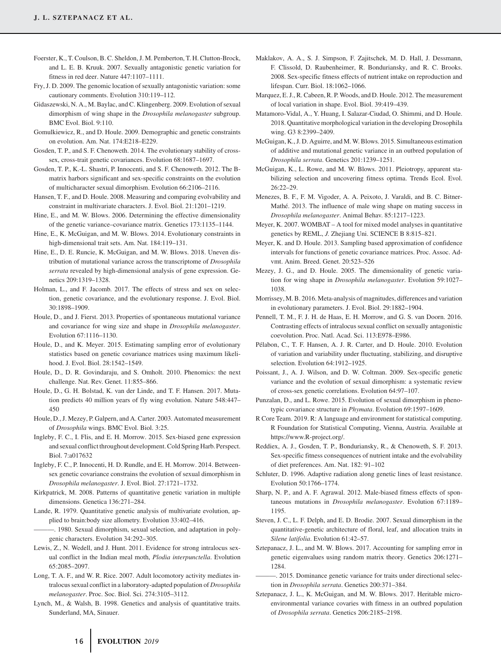- Foerster, K., T. Coulson, B. C. Sheldon, J. M. Pemberton, T. H. Clutton-Brock, and L. E. B. Kruuk. 2007. Sexually antagonistic genetic variation for fitness in red deer. Nature 447:1107–1111.
- Fry, J. D. 2009. The genomic location of sexually antagonistic variation: some cautionary comments. Evolution 310:119–112.
- Gidaszewski, N. A., M. Baylac, and C. Klingenberg. 2009. Evolution of sexual dimorphism of wing shape in the *Drosophila melanogaster* subgroup. BMC Evol. Biol. 9:110.
- Gomulkiewicz, R., and D. Houle. 2009. Demographic and genetic constraints on evolution. Am. Nat. 174:E218–E229.
- Gosden, T. P., and S. F. Chenoweth. 2014. The evolutionary stability of crosssex, cross-trait genetic covariances. Evolution 68:1687–1697.
- Gosden, T. P., K.-L. Shastri, P. Innocenti, and S. F. Chenoweth. 2012. The Bmatrix harbors significant and sex-specific constraints on the evolution of multicharacter sexual dimorphism. Evolution 66:2106–2116.
- Hansen, T. F., and D. Houle. 2008. Measuring and comparing evolvability and constraint in multivariate characters. J. Evol. Biol. 21:1201–1219.
- Hine, E., and M. W. Blows. 2006. Determining the effective dimensionality of the genetic variance–covariance matrix. Genetics 173:1135–1144.
- Hine, E., K. McGuigan, and M. W. Blows. 2014. Evolutionary constraints in high-dimensional trait sets. Am. Nat. 184:119-131.
- Hine, E., D. E. Runcie, K. McGuigan, and M. W. Blows. 2018. Uneven distribution of mutational variance across the transcriptome of *Drosophila serrata* revealed by high-dimensional analysis of gene expression. Genetics 209:1319–1328.
- Holman, L., and F. Jacomb. 2017. The effects of stress and sex on selection, genetic covariance, and the evolutionary response. J. Evol. Biol. 30:1898–1909.
- Houle, D., and J. Fierst. 2013. Properties of spontaneous mutational variance and covariance for wing size and shape in *Drosophila melanogaster*. Evolution 67:1116–1130.
- Houle, D., and K. Meyer. 2015. Estimating sampling error of evolutionary statistics based on genetic covariance matrices using maximum likelihood. J. Evol. Biol. 28:1542–1549.
- Houle, D., D. R. Govindaraju, and S. Omholt. 2010. Phenomics: the next challenge. Nat. Rev. Genet. 11:855–866.
- Houle, D., G. H. Bolstad, K. van der Linde, and T. F. Hansen. 2017. Mutation predicts 40 million years of fly wing evolution. Nature 548:447– 450
- Houle, D., J. Mezey, P. Galpern, and A. Carter. 2003. Automated measurement of *Drosophila* wings. BMC Evol. Biol. 3:25.
- Ingleby, F. C., I. Flis, and E. H. Morrow. 2015. Sex-biased gene expression and sexual conflict throughout development. Cold Spring Harb. Perspect. Biol. 7:a017632
- Ingleby, F. C., P. Innocenti, H. D. Rundle, and E. H. Morrow. 2014. Betweensex genetic covariance constrains the evolution of sexual dimorphism in *Drosophila melanogaster*. J. Evol. Biol. 27:1721–1732.
- Kirkpatrick, M. 2008. Patterns of quantitative genetic variation in multiple dimensions. Genetica 136:271–284.
- Lande, R. 1979. Quantitative genetic analysis of multivariate evolution, applied to brain:body size allometry. Evolution 33:402–416.
- ———. 1980. Sexual dimorphism, sexual selection, and adaptation in polygenic characters. Evolution 34:292–305.
- Lewis, Z., N. Wedell, and J. Hunt. 2011. Evidence for strong intralocus sexual conflict in the Indian meal moth, *Plodia interpunctella*. Evolution 65:2085–2097.
- Long, T. A. F., and W. R. Rice. 2007. Adult locomotory activity mediates intralocus sexual conflict in a laboratory-adapted population of *Drosophila melanogaster*. Proc. Soc. Biol. Sci. 274:3105–3112.
- Lynch, M., & Walsh, B. 1998. Genetics and analysis of quantitative traits. Sunderland, MA, Sinauer.
- Maklakov, A. A., S. J. Simpson, F. Zajitschek, M. D. Hall, J. Dessmann, F. Clissold, D. Raubenheimer, R. Bonduriansky, and R. C. Brooks. 2008. Sex-specific fitness effects of nutrient intake on reproduction and lifespan. Curr. Biol. 18:1062–1066.
- Marquez, E. J., R. Cabeen, R. P. Woods, and D. Houle. 2012. The measurement of local variation in shape. Evol. Biol. 39:419–439.
- Matamoro-Vidal, A., Y. Huang, I. Salazar-Ciudad, O. Shimmi, and D. Houle. 2018. Quantitative morphological variation in the developing Drosophila wing. G3 8:2399–2409.
- McGuigan, K., J. D. Aguirre, and M.W. Blows. 2015. Simultaneous estimation of additive and mutational genetic variance in an outbred population of *Drosophila serrata*. Genetics 201:1239–1251.
- McGuigan, K., L. Rowe, and M. W. Blows. 2011. Pleiotropy, apparent stabilizing selection and uncovering fitness optima. Trends Ecol. Evol. 26:22–29.
- Menezes, B. F., F. M. Vigoder, A. A. Peixoto, J. Varaldi, and B. C. Bitner-Mathé. 2013. The influence of male wing shape on mating success in *Drosophila melanogaster*. Animal Behav. 85:1217–1223.
- Meyer, K. 2007. WOMBAT A tool for mixed model analyses in quantitative genetics by REML, *J.* Zhejiang Uni. SCIENCE B 8:815–821.
- Meyer, K. and D. Houle. 2013. Sampling based approximation of confidence intervals for functions of genetic covariance matrices. Proc. Assoc. Advmt. Anim. Breed. Genet. 20:523–526
- Mezey, J. G., and D. Houle. 2005. The dimensionality of genetic variation for wing shape in *Drosophila melanogaster*. Evolution 59:1027– 1038.
- Morrissey, M. B. 2016. Meta-analysis of magnitudes, differences and variation in evolutionary parameters. J. Evol. Biol. 29:1882–1904.
- Pennell, T. M., F. J. H. de Haas, E. H. Morrow, and G. S. van Doorn. 2016. Contrasting effects of intralocus sexual conflict on sexually antagonistic coevolution. Proc. Natl. Acad. Sci. 113:E978–E986.
- Pélabon, C., T. F. Hansen, A. J. R. Carter, and D. Houle. 2010. Evolution of variation and variability under fluctuating, stabilizing, and disruptive selection. Evolution 64:1912–1925.
- Poissant, J., A. J. Wilson, and D. W. Coltman. 2009. Sex-specific genetic variance and the evolution of sexual dimorphism: a systematic review of cross-sex genetic correlations. Evolution 64:97–107.
- Punzalan, D., and L. Rowe. 2015. Evolution of sexual dimorphism in phenotypic covariance structure in *Phymata*. Evolution 69:1597–1609.
- R Core Team. 2019. R: A language and environment for statistical computing. R Foundation for Statistical Computing, Vienna, Austria. Available at [https://www.R-project.org/.](https://www.R-project.org/)
- Reddiex, A. J., Gosden, T. P., Bonduriansky, R., & Chenoweth, S. F. 2013. Sex-specific fitness consequences of nutrient intake and the evolvability of diet preferences. Am. Nat. 182: 91–102
- Schluter, D. 1996. Adaptive radiation along genetic lines of least resistance. Evolution 50:1766–1774.
- Sharp, N. P., and A. F. Agrawal. 2012. Male-biased fitness effects of spontaneous mutations in *Drosophila melanogaster*. Evolution 67:1189– 1195.
- Steven, J. C., L. F. Delph, and E. D. Brodie. 2007. Sexual dimorphism in the quantitative-genetic architecture of floral, leaf, and allocation traits in *Silene latifolia*. Evolution 61:42–57.
- Sztepanacz, J. L., and M. W. Blows. 2017. Accounting for sampling error in genetic eigenvalues using random matrix theory. Genetics 206:1271– 1284.
- ———. 2015. Dominance genetic variance for traits under directional selection in *Drosophila serrata*. Genetics 200:371–384.
- Sztepanacz, J. L., K. McGuigan, and M. W. Blows. 2017. Heritable microenvironmental variance covaries with fitness in an outbred population of *Drosophila serrata*. Genetics 206:2185–2198.